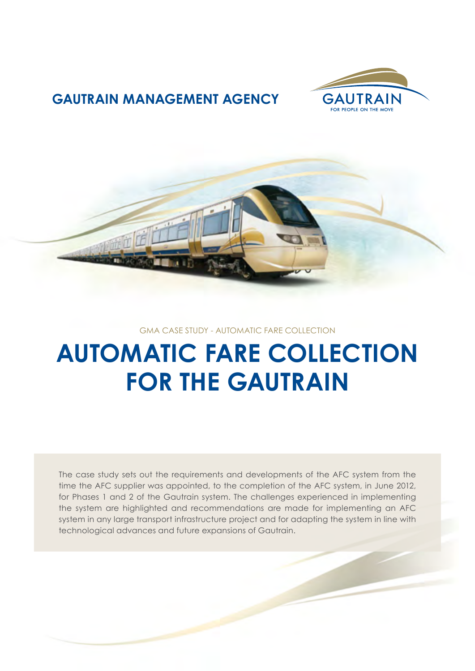

## **GAUTRAIN MANAGEMENT AGENCY**



#### GMA CASE STUDY - AUTOMATIC FARE COLLECTION

# **AUTOMATIC FARE COLLECTION FOR THE GAUTRAIN**

The case study sets out the requirements and developments of the AFC system from the time the AFC supplier was appointed, to the completion of the AFC system, in June 2012, for Phases 1 and 2 of the Gautrain system. The challenges experienced in implementing the system are highlighted and recommendations are made for implementing an AFC system in any large transport infrastructure project and for adapting the system in line with technological advances and future expansions of Gautrain.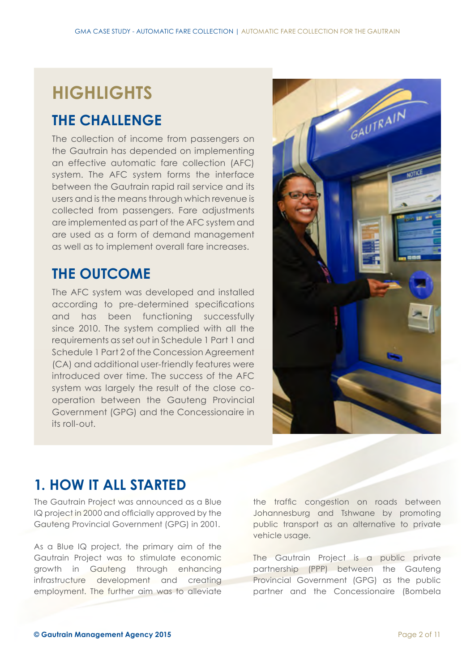## **HIGHLIGHTS**

## **THE CHALLENGE**

The collection of income from passengers on the Gautrain has depended on implementing an effective automatic fare collection (AFC) system. The AFC system forms the interface between the Gautrain rapid rail service and its users and is the means through which revenue is collected from passengers. Fare adjustments are implemented as part of the AFC system and are used as a form of demand management as well as to implement overall fare increases.

## **THE OUTCOME**

The AFC system was developed and installed according to pre-determined specifications and has been functioning successfully since 2010. The system complied with all the requirements as set out in Schedule 1 Part 1 and Schedule 1 Part 2 of the Concession Agreement (CA) and additional user-friendly features were introduced over time. The success of the AFC system was largely the result of the close cooperation between the Gauteng Provincial Government (GPG) and the Concessionaire in its roll-out.



## **1. HOW IT ALL STARTED**

The Gautrain Project was announced as a Blue IQ project in 2000 and officially approved by the Gauteng Provincial Government (GPG) in 2001.

As a Blue IQ project, the primary aim of the Gautrain Project was to stimulate economic growth in Gauteng through enhancing infrastructure development and creating employment. The further aim was to alleviate

the traffic congestion on roads between Johannesburg and Tshwane by promoting public transport as an alternative to private vehicle usage.

The Gautrain Project is a public private partnership (PPP) between the Gauteng Provincial Government (GPG) as the public partner and the Concessionaire (Bombela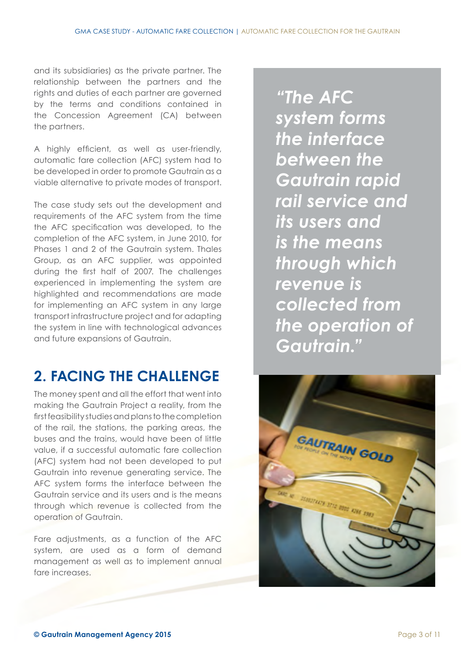and its subsidiaries) as the private partner. The relationship between the partners and the rights and duties of each partner are governed by the terms and conditions contained in the Concession Agreement (CA) between the partners.

A highly efficient, as well as user-friendly, automatic fare collection (AFC) system had to be developed in order to promote Gautrain as a viable alternative to private modes of transport.

The case study sets out the development and requirements of the AFC system from the time the AFC specification was developed, to the completion of the AFC system, in June 2010, for Phases 1 and 2 of the Gautrain system. Thales Group, as an AFC supplier, was appointed during the first half of 2007. The challenges experienced in implementing the system are highlighted and recommendations are made for implementing an AFC system in any large transport infrastructure project and for adapting the system in line with technological advances and future expansions of Gautrain.

## **2. FACING THE CHALLENGE**

The money spent and all the effort that went into making the Gautrain Project a reality, from the first feasibility studies and plans to the completion of the rail, the stations, the parking areas, the buses and the trains, would have been of little value, if a successful automatic fare collection (AFC) system had not been developed to put Gautrain into revenue generating service. The AFC system forms the interface between the Gautrain service and its users and is the means through which revenue is collected from the operation of Gautrain.

Fare adjustments, as a function of the AFC system, are used as a form of demand management as well as to implement annual fare increases

*"The AFC system forms the interface between the Gautrain rapid rail service and its users and is the means through which revenue is collected from the operation of Gautrain."*

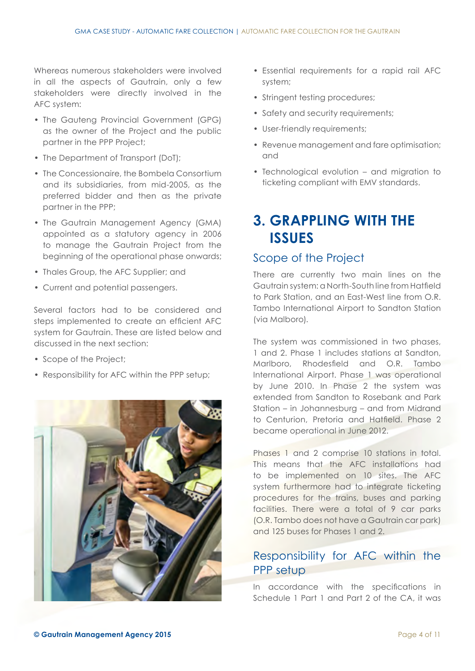Whereas numerous stakeholders were involved in all the aspects of Gautrain, only a few stakeholders were directly involved in the AFC system:

- The Gauteng Provincial Government (GPG) as the owner of the Project and the public partner in the PPP Project;
- The Department of Transport (DoT);
- The Concessionaire, the Bombela Consortium and its subsidiaries, from mid-2005, as the preferred bidder and then as the private partner in the PPP;
- The Gautrain Management Agency (GMA) appointed as a statutory agency in 2006 to manage the Gautrain Project from the beginning of the operational phase onwards;
- Thales Group, the AFC Supplier; and
- Current and potential passengers.

Several factors had to be considered and steps implemented to create an efficient AFC system for Gautrain. These are listed below and discussed in the next section:

- Scope of the Project;
- Responsibility for AFC within the PPP setup;



- Essential requirements for a rapid rail AFC system;
- Stringent testing procedures;
- Safety and security requirements;
- User-friendly requirements;
- Revenue management and fare optimisation; and
- Technological evolution and migration to ticketing compliant with EMV standards.

## **3. GRAPPLING WITH THE ISSUES**

#### Scope of the Project

There are currently two main lines on the Gautrain system: a North-South line from Hatfield to Park Station, and an East-West line from O.R. Tambo International Airport to Sandton Station (via Malboro).

The system was commissioned in two phases, 1 and 2. Phase 1 includes stations at Sandton, Marlboro, Rhodesfield and O.R. Tambo International Airport. Phase 1 was operational by June 2010. In Phase 2 the system was extended from Sandton to Rosebank and Park Station – in Johannesburg – and from Midrand to Centurion, Pretoria and Hatfield. Phase 2 became operational in June 2012.

Phases 1 and 2 comprise 10 stations in total. This means that the AFC installations had to be implemented on 10 sites. The AFC system furthermore had to integrate ticketing procedures for the trains, buses and parking facilities. There were a total of 9 car parks (O.R. Tambo does not have a Gautrain car park) and 125 buses for Phases 1 and 2.

#### Responsibility for AFC within the PPP setup

In accordance with the specifications in Schedule 1 Part 1 and Part 2 of the CA, it was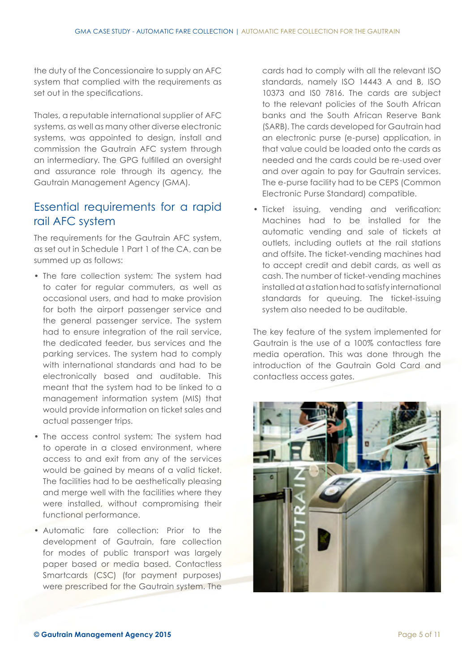the duty of the Concessionaire to supply an AFC system that complied with the requirements as set out in the specifications.

Thales, a reputable international supplier of AFC systems, as well as many other diverse electronic systems, was appointed to design, install and commission the Gautrain AFC system through an intermediary. The GPG fulfilled an oversight and assurance role through its agency, the Gautrain Management Agency (GMA).

#### Essential requirements for a rapid rail AFC system

The requirements for the Gautrain AFC system, as set out in Schedule 1 Part 1 of the CA, can be summed up as follows:

- The fare collection system: The system had to cater for regular commuters, as well as occasional users, and had to make provision for both the airport passenger service and the general passenger service. The system had to ensure integration of the rail service, the dedicated feeder, bus services and the parking services. The system had to comply with international standards and had to be electronically based and auditable. This meant that the system had to be linked to a management information system (MIS) that would provide information on ticket sales and actual passenger trips.
- The access control system: The system had to operate in a closed environment, where access to and exit from any of the services would be gained by means of a valid ticket. The facilities had to be aesthetically pleasing and merge well with the facilities where they were installed, without compromising their functional performance.
- Automatic fare collection: Prior to the development of Gautrain, fare collection for modes of public transport was largely paper based or media based. Contactless Smartcards (CSC) (for payment purposes) were prescribed for the Gautrain system. The

cards had to comply with all the relevant ISO standards, namely ISO 14443 A and B, ISO 10373 and IS0 7816. The cards are subject to the relevant policies of the South African banks and the South African Reserve Bank (SARB). The cards developed for Gautrain had an electronic purse (e-purse) application, in that value could be loaded onto the cards as needed and the cards could be re-used over and over again to pay for Gautrain services. The e-purse facility had to be CEPS (Common Electronic Purse Standard) compatible.

• Ticket issuing, vending and verification: Machines had to be installed for the automatic vending and sale of tickets at outlets, including outlets at the rail stations and offsite. The ticket-vending machines had to accept credit and debit cards, as well as cash. The number of ticket-vending machines installed at a station had to satisfy international standards for queuing. The ticket-issuing system also needed to be auditable.

The key feature of the system implemented for Gautrain is the use of a 100% contactless fare media operation. This was done through the introduction of the Gautrain Gold Card and contactless access gates.

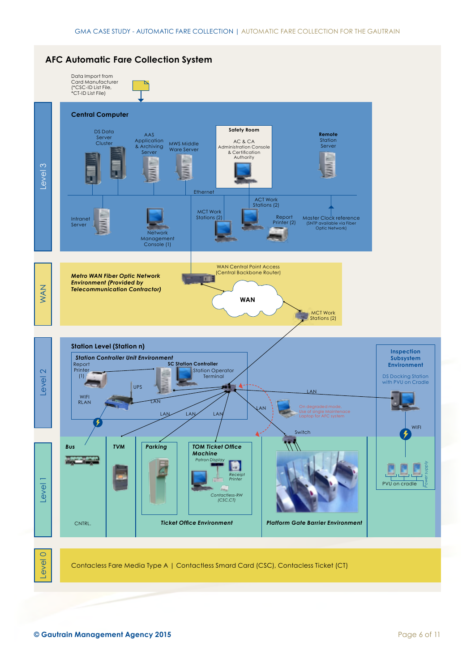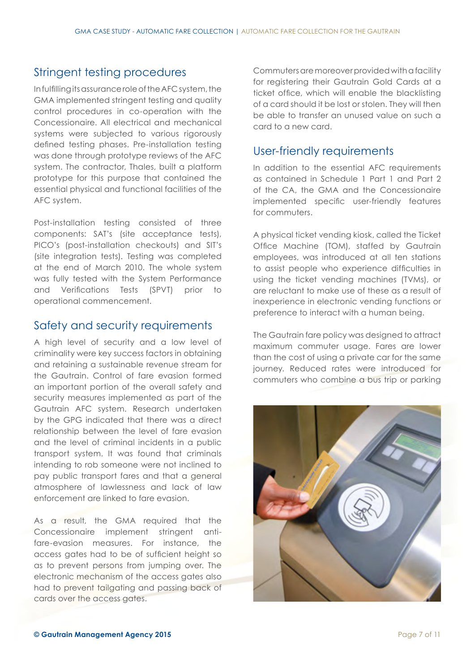#### Stringent testing procedures

In fulfilling its assurance role of the AFC system, the GMA implemented stringent testing and quality control procedures in co-operation with the Concessionaire. All electrical and mechanical systems were subjected to various rigorously defined testing phases. Pre-installation testing was done through prototype reviews of the AFC system. The contractor, Thales, built a platform prototype for this purpose that contained the essential physical and functional facilities of the AFC system.

Post-installation testing consisted of three components: SAT's (site acceptance tests), PICO's (post-installation checkouts) and SIT's (site integration tests). Testing was completed at the end of March 2010. The whole system was fully tested with the System Performance and Verifications Tests (SPVT) prior to operational commencement.

#### Safety and security requirements

A high level of security and a low level of criminality were key success factors in obtaining and retaining a sustainable revenue stream for the Gautrain. Control of fare evasion formed an important portion of the overall safety and security measures implemented as part of the Gautrain AFC system. Research undertaken by the GPG indicated that there was a direct relationship between the level of fare evasion and the level of criminal incidents in a public transport system. It was found that criminals intending to rob someone were not inclined to pay public transport fares and that a general atmosphere of lawlessness and lack of law enforcement are linked to fare evasion.

As a result, the GMA required that the Concessionaire implement stringent antifare-evasion measures. For instance, the access gates had to be of sufficient height so as to prevent persons from jumping over. The electronic mechanism of the access gates also had to prevent tailgating and passing back of cards over the access gates.

Commuters are moreover provided with a facility for registering their Gautrain Gold Cards at a ticket office, which will enable the blacklisting of a card should it be lost or stolen. They will then be able to transfer an unused value on such a card to a new card.

#### User-friendly requirements

In addition to the essential AFC requirements as contained in Schedule 1 Part 1 and Part 2 of the CA, the GMA and the Concessionaire implemented specific user-friendly features for commuters.

A physical ticket vending kiosk, called the Ticket Office Machine (TOM), staffed by Gautrain employees, was introduced at all ten stations to assist people who experience difficulties in using the ticket vending machines (TVMs), or are reluctant to make use of these as a result of inexperience in electronic vending functions or preference to interact with a human being.

The Gautrain fare policy was designed to attract maximum commuter usage. Fares are lower than the cost of using a private car for the same journey. Reduced rates were introduced for commuters who combine a bus trip or parking

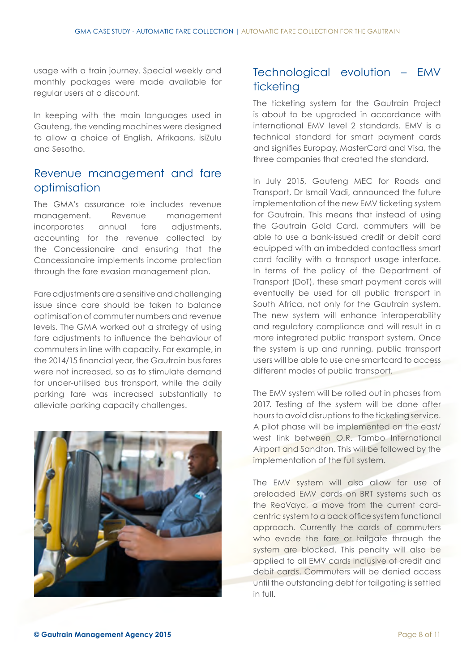usage with a train journey. Special weekly and monthly packages were made available for regular users at a discount.

In keeping with the main languages used in Gauteng, the vending machines were designed to allow a choice of English, Afrikaans, isiZulu and Sesotho.

#### Revenue management and fare optimisation

The GMA's assurance role includes revenue management. Revenue management incorporates annual fare adjustments, accounting for the revenue collected by the Concessionaire and ensuring that the Concessionaire implements income protection through the fare evasion management plan.

Fare adjustments are a sensitive and challenging issue since care should be taken to balance optimisation of commuter numbers and revenue levels. The GMA worked out a strategy of using fare adjustments to influence the behaviour of commuters in line with capacity. For example, in the 2014/15 financial year, the Gautrain bus fares were not increased, so as to stimulate demand for under-utilised bus transport, while the daily parking fare was increased substantially to alleviate parking capacity challenges.



#### Technological evolution – EMV ticketing

The ticketing system for the Gautrain Project is about to be upgraded in accordance with international EMV level 2 standards. EMV is a technical standard for smart payment cards and signifies Europay, MasterCard and Visa, the three companies that created the standard.

In July 2015, Gauteng MEC for Roads and Transport, Dr Ismail Vadi, announced the future implementation of the new EMV ticketing system for Gautrain. This means that instead of using the Gautrain Gold Card, commuters will be able to use a bank-issued credit or debit card equipped with an imbedded contactless smart card facility with a transport usage interface. In terms of the policy of the Department of Transport (DoT), these smart payment cards will eventually be used for all public transport in South Africa, not only for the Gautrain system. The new system will enhance interoperability and regulatory compliance and will result in a more integrated public transport system. Once the system is up and running, public transport users will be able to use one smartcard to access different modes of public transport.

The EMV system will be rolled out in phases from 2017. Testing of the system will be done after hours to avoid disruptions to the ticketing service. A pilot phase will be implemented on the east/ west link between O.R. Tambo International Airport and Sandton. This will be followed by the implementation of the full system.

The EMV system will also allow for use of preloaded EMV cards on BRT systems such as the ReaVaya, a move from the current cardcentric system to a back office system functional approach. Currently the cards of commuters who evade the fare or tailgate through the system are blocked. This penalty will also be applied to all EMV cards inclusive of credit and debit cards. Commuters will be denied access until the outstanding debt for tailgating is settled in full.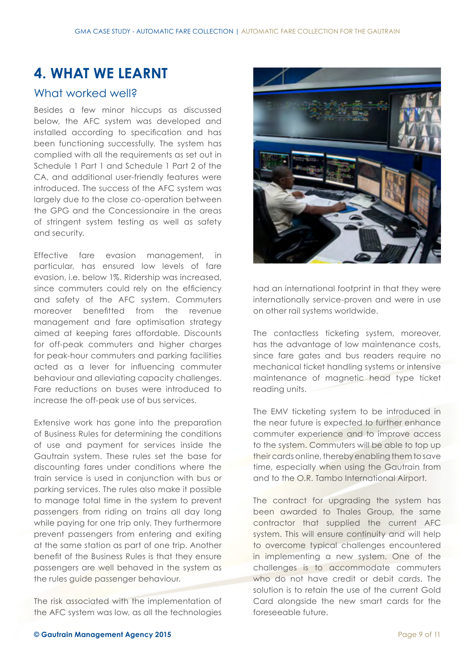## **4. WHAT WE LEARNT**

#### What worked well?

Besides a few minor hiccups as discussed below, the AFC system was developed and installed according to specification and has been functioning successfully. The system has complied with all the requirements as set out in Schedule 1 Part 1 and Schedule 1 Part 2 of the CA, and additional user-friendly features were introduced. The success of the AFC system was largely due to the close co-operation between the GPG and the Concessionaire in the areas of stringent system testing as well as safety and security.

Effective fare evasion management, in particular, has ensured low levels of fare evasion, i.e. below 1%. Ridership was increased, since commuters could rely on the efficiency and safety of the AFC system. Commuters moreover benefitted from the revenue management and fare optimisation strategy aimed at keeping fares affordable. Discounts for off-peak commuters and higher charges for peak-hour commuters and parking facilities acted as a lever for influencing commuter behaviour and alleviating capacity challenges. Fare reductions on buses were introduced to increase the off-peak use of bus services.

Extensive work has gone into the preparation of Business Rules for determining the conditions of use and payment for services inside the Gautrain system. These rules set the base for discounting fares under conditions where the train service is used in conjunction with bus or parking services. The rules also make it possible to manage total time in the system to prevent passengers from riding on trains all day long while paying for one trip only. They furthermore prevent passengers from entering and exiting at the same station as part of one trip. Another benefit of the Business Rules is that they ensure passengers are well behaved in the system as the rules guide passenger behaviour.

The risk associated with the implementation of the AFC system was low, as all the technologies



had an international footprint in that they were internationally service-proven and were in use on other rail systems worldwide.

The contactless ticketing system, moreover, has the advantage of low maintenance costs, since fare gates and bus readers require no mechanical ticket handling systems or intensive maintenance of magnetic head type ticket reading units.

The EMV ticketing system to be introduced in the near future is expected to further enhance commuter experience and to improve access to the system. Commuters will be able to top up their cards online, thereby enabling them to save time, especially when using the Gautrain from and to the O.R. Tambo International Airport.

The contract for upgrading the system has been awarded to Thales Group, the same contractor that supplied the current AFC system. This will ensure continuity and will help to overcome typical challenges encountered in implementing a new system. One of the challenges is to accommodate commuters who do not have credit or debit cards. The solution is to retain the use of the current Gold Card alongside the new smart cards for the foreseeable future.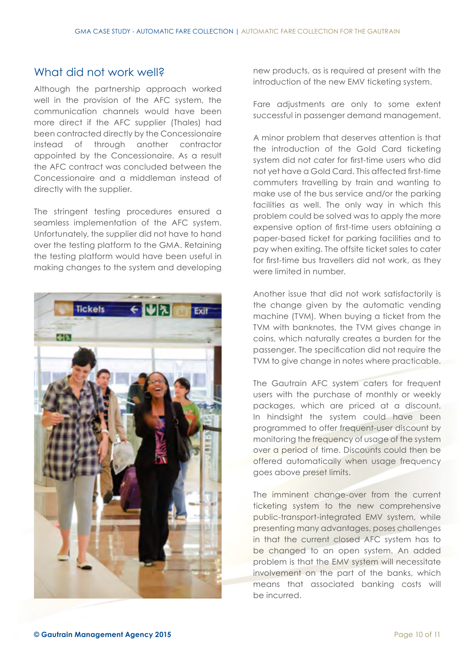#### What did not work well?

Although the partnership approach worked well in the provision of the AFC system, the communication channels would have been more direct if the AFC supplier (Thales) had been contracted directly by the Concessionaire instead of through another contractor appointed by the Concessionaire. As a result the AFC contract was concluded between the Concessionaire and a middleman instead of directly with the supplier.

The stringent testing procedures ensured a seamless implementation of the AFC system. Unfortunately, the supplier did not have to hand over the testing platform to the GMA. Retaining the testing platform would have been useful in making changes to the system and developing



new products, as is required at present with the introduction of the new EMV ticketing system.

Fare adjustments are only to some extent successful in passenger demand management.

A minor problem that deserves attention is that the introduction of the Gold Card ticketing system did not cater for first-time users who did not yet have a Gold Card. This affected first-time commuters travelling by train and wanting to make use of the bus service and/or the parking facilities as well. The only way in which this problem could be solved was to apply the more expensive option of first-time users obtaining a paper-based ticket for parking facilities and to pay when exiting. The offsite ticket sales to cater for first-time bus travellers did not work, as they were limited in number.

Another issue that did not work satisfactorily is the change given by the automatic vending machine (TVM). When buying a ticket from the TVM with banknotes, the TVM gives change in coins, which naturally creates a burden for the passenger. The specification did not require the TVM to give change in notes where practicable.

The Gautrain AFC system caters for frequent users with the purchase of monthly or weekly packages, which are priced at a discount. In hindsight the system could have been programmed to offer frequent-user discount by monitoring the frequency of usage of the system over a period of time. Discounts could then be offered automatically when usage frequency goes above preset limits.

The imminent change-over from the current ticketing system to the new comprehensive public-transport-integrated EMV system, while presenting many advantages, poses challenges in that the current closed AFC system has to be changed to an open system. An added problem is that the EMV system will necessitate involvement on the part of the banks, which means that associated banking costs will be incurred.